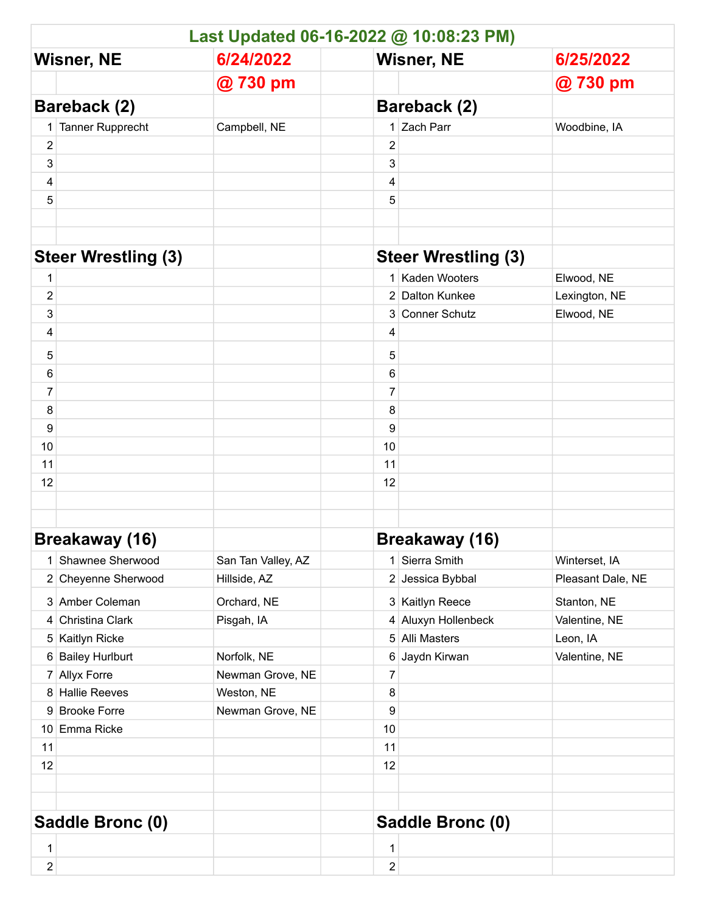|                            | Last Updated 06-16-2022 @ 10:08:23 PM) |                    |                            |                       |                   |  |  |  |
|----------------------------|----------------------------------------|--------------------|----------------------------|-----------------------|-------------------|--|--|--|
| <b>Wisner, NE</b>          |                                        | 6/24/2022          | <b>Wisner, NE</b>          |                       | 6/25/2022         |  |  |  |
|                            |                                        | @730 pm            |                            |                       | @730 pm           |  |  |  |
| Bareback (2)               |                                        |                    | Bareback (2)               |                       |                   |  |  |  |
| 1                          | Tanner Rupprecht                       | Campbell, NE       |                            | 1 Zach Parr           | Woodbine, IA      |  |  |  |
| $\overline{\mathbf{c}}$    |                                        |                    | 2                          |                       |                   |  |  |  |
| 3                          |                                        |                    | 3                          |                       |                   |  |  |  |
| 4                          |                                        |                    | 4                          |                       |                   |  |  |  |
| 5                          |                                        |                    | 5                          |                       |                   |  |  |  |
|                            |                                        |                    |                            |                       |                   |  |  |  |
|                            |                                        |                    |                            |                       |                   |  |  |  |
| <b>Steer Wrestling (3)</b> |                                        |                    | <b>Steer Wrestling (3)</b> |                       |                   |  |  |  |
| 1                          |                                        |                    |                            | 1 Kaden Wooters       | Elwood, NE        |  |  |  |
| $\mathbf 2$                |                                        |                    |                            | 2 Dalton Kunkee       | Lexington, NE     |  |  |  |
| 3                          |                                        |                    |                            | 3 Conner Schutz       | Elwood, NE        |  |  |  |
| 4                          |                                        |                    | 4                          |                       |                   |  |  |  |
| 5                          |                                        |                    | 5                          |                       |                   |  |  |  |
| 6                          |                                        |                    | 6                          |                       |                   |  |  |  |
| $\overline{7}$             |                                        |                    | 7                          |                       |                   |  |  |  |
| 8                          |                                        |                    | 8                          |                       |                   |  |  |  |
| 9                          |                                        |                    | 9                          |                       |                   |  |  |  |
| 10                         |                                        |                    | 10                         |                       |                   |  |  |  |
| 11                         |                                        |                    | 11                         |                       |                   |  |  |  |
| 12                         |                                        |                    | 12                         |                       |                   |  |  |  |
|                            |                                        |                    |                            |                       |                   |  |  |  |
|                            |                                        |                    |                            |                       |                   |  |  |  |
| <b>Breakaway (16)</b>      |                                        |                    |                            | <b>Breakaway (16)</b> |                   |  |  |  |
| 1                          | Shawnee Sherwood                       | San Tan Valley, AZ | 1                          | Sierra Smith          | Winterset, IA     |  |  |  |
|                            | 2 Cheyenne Sherwood                    | Hillside, AZ       |                            | 2 Jessica Bybbal      | Pleasant Dale, NE |  |  |  |
|                            | 3 Amber Coleman                        | Orchard, NE        |                            | 3 Kaitlyn Reece       | Stanton, NE       |  |  |  |
| 4                          | Christina Clark                        | Pisgah, IA         | 4                          | Aluxyn Hollenbeck     | Valentine, NE     |  |  |  |
|                            | 5 Kaitlyn Ricke                        |                    |                            | 5 Alli Masters        | Leon, IA          |  |  |  |
|                            | 6 Bailey Hurlburt                      | Norfolk, NE        |                            | 6 Jaydn Kirwan        | Valentine, NE     |  |  |  |
| $\overline{7}$             | <b>Allyx Forre</b>                     | Newman Grove, NE   | 7                          |                       |                   |  |  |  |
|                            | 8 Hallie Reeves                        | Weston, NE         | 8                          |                       |                   |  |  |  |
|                            | 9 Brooke Forre                         | Newman Grove, NE   | 9                          |                       |                   |  |  |  |
|                            | 10 Emma Ricke                          |                    | 10                         |                       |                   |  |  |  |
| 11                         |                                        |                    | 11                         |                       |                   |  |  |  |
| 12                         |                                        |                    | 12                         |                       |                   |  |  |  |
|                            |                                        |                    |                            |                       |                   |  |  |  |
|                            |                                        |                    |                            |                       |                   |  |  |  |
| Saddle Bronc (0)           |                                        |                    |                            | Saddle Bronc (0)      |                   |  |  |  |
| $\mathbf 1$                |                                        |                    | 1                          |                       |                   |  |  |  |
| $\overline{2}$             |                                        |                    | 2                          |                       |                   |  |  |  |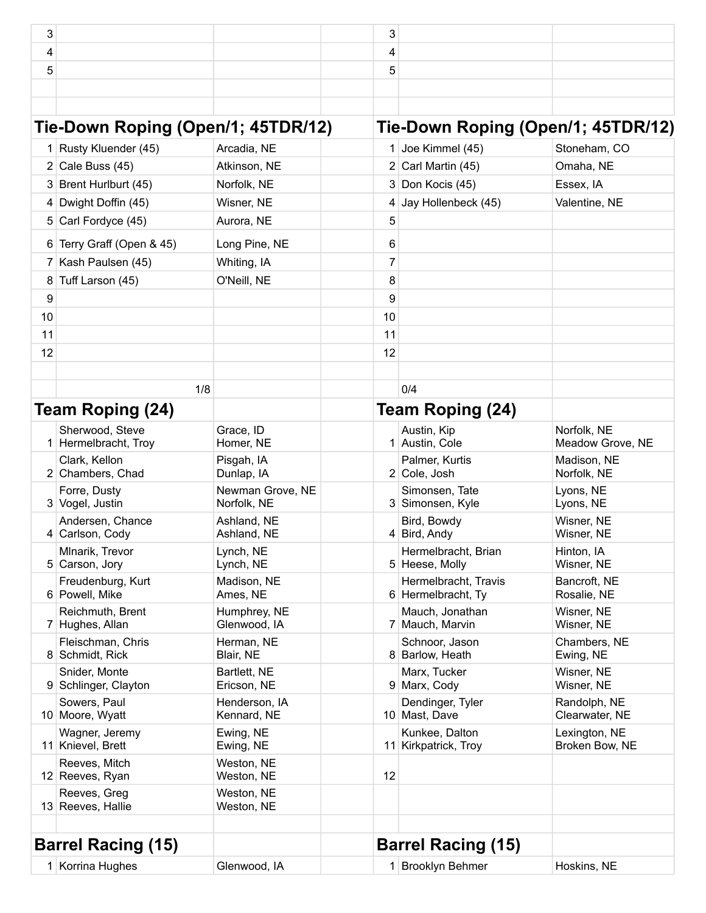| 3  |                                         |                                 | 3  |                                            |                                 |
|----|-----------------------------------------|---------------------------------|----|--------------------------------------------|---------------------------------|
| 4  |                                         |                                 | 4  |                                            |                                 |
| 5  |                                         |                                 | 5  |                                            |                                 |
|    |                                         |                                 |    |                                            |                                 |
|    |                                         |                                 |    |                                            |                                 |
|    | Tie-Down Roping (Open/1; 45TDR/12)      |                                 |    | Tie-Down Roping (Open/1; 45TDR/12)         |                                 |
|    | 1 Rusty Kluender (45)                   | Arcadia, NE                     |    | 1 Joe Kimmel (45)                          | Stoneham, CO                    |
|    | 2 Cale Buss $(45)$                      | Atkinson, NE                    |    | $2$ Carl Martin (45)                       | Omaha, NE                       |
|    | 3 Brent Hurlburt (45)                   | Norfolk, NE                     |    | 3 Don Kocis (45)                           | Essex, IA                       |
|    | 4 Dwight Doffin (45)                    | Wisner, NE                      | 4  | Jay Hollenbeck (45)                        | Valentine, NE                   |
|    | 5 Carl Fordyce (45)                     | Aurora, NE                      | 5  |                                            |                                 |
|    | 6 Terry Graff (Open & 45)               | Long Pine, NE                   | 6  |                                            |                                 |
|    | 7 Kash Paulsen (45)                     | Whiting, IA                     | 7  |                                            |                                 |
| 8  | Tuff Larson (45)                        | O'Neill, NE                     | 8  |                                            |                                 |
| 9  |                                         |                                 | 9  |                                            |                                 |
| 10 |                                         |                                 | 10 |                                            |                                 |
| 11 |                                         |                                 | 11 |                                            |                                 |
| 12 |                                         |                                 | 12 |                                            |                                 |
|    |                                         |                                 |    |                                            |                                 |
|    | 1/8                                     |                                 |    | 0/4                                        |                                 |
|    | Team Roping (24)                        |                                 |    | Team Roping (24)                           |                                 |
|    |                                         |                                 |    |                                            |                                 |
|    | Sherwood, Steve<br>1 Hermelbracht, Troy | Grace, ID<br>Homer, NE          |    | Austin, Kip<br>1 Austin, Cole              | Norfolk, NE<br>Meadow Grove, NE |
|    | Clark, Kellon<br>2 Chambers, Chad       | Pisgah, IA<br>Dunlap, IA        |    | Palmer, Kurtis<br>2 Cole, Josh             | Madison, NE<br>Norfolk, NE      |
|    | Forre, Dusty<br>3 Vogel, Justin         | Newman Grove, NE<br>Norfolk, NE |    | Simonsen, Tate<br>3 Simonsen, Kyle         | Lyons, NE<br>Lyons, NE          |
|    | Andersen, Chance<br>4 Carlson, Cody     | Ashland, NE<br>Ashland, NE      |    | Bird, Bowdy<br>$4$ Bird, Andy              | Wisner, NE<br>Wisner, NE        |
|    | Mlnarik, Trevor<br>5 Carson, Jory       | Lynch, NE<br>Lynch, NE          |    | Hermelbracht, Brian<br>5 Heese, Molly      | Hinton, IA<br>Wisner, NE        |
|    | Freudenburg, Kurt<br>6 Powell, Mike     | Madison, NE<br>Ames, NE         |    | Hermelbracht, Travis<br>6 Hermelbracht, Ty | Bancroft, NE<br>Rosalie, NE     |
|    | Reichmuth, Brent<br>7 Hughes, Allan     | Humphrey, NE<br>Glenwood, IA    |    | Mauch, Jonathan<br>7 Mauch, Marvin         | Wisner, NE<br>Wisner, NE        |
|    | Fleischman, Chris<br>8 Schmidt, Rick    | Herman, NE<br>Blair, NE         |    | Schnoor, Jason<br>8 Barlow, Heath          | Chambers, NE<br>Ewing, NE       |
|    | Snider, Monte<br>9 Schlinger, Clayton   | Bartlett, NE<br>Ericson, NE     |    | Marx, Tucker<br>9 Marx, Cody               | Wisner, NE<br>Wisner, NE        |
|    | Sowers, Paul<br>10 Moore, Wyatt         | Henderson, IA<br>Kennard, NE    |    | Dendinger, Tyler<br>10 Mast, Dave          | Randolph, NE<br>Clearwater, NE  |
|    | Wagner, Jeremy<br>11 Knievel, Brett     | Ewing, NE<br>Ewing, NE          |    | Kunkee, Dalton<br>11 Kirkpatrick, Troy     | Lexington, NE<br>Broken Bow, NE |
|    | Reeves, Mitch<br>12 Reeves, Ryan        | Weston, NE<br>Weston, NE        | 12 |                                            |                                 |
|    | Reeves, Greg<br>13 Reeves, Hallie       | Weston, NE<br>Weston, NE        |    |                                            |                                 |
|    |                                         |                                 |    |                                            |                                 |
|    | <b>Barrel Racing (15)</b>               |                                 |    | <b>Barrel Racing (15)</b>                  |                                 |
|    | 1 Korrina Hughes                        | Glenwood, IA                    |    | 1 Brooklyn Behmer                          | Hoskins, NE                     |